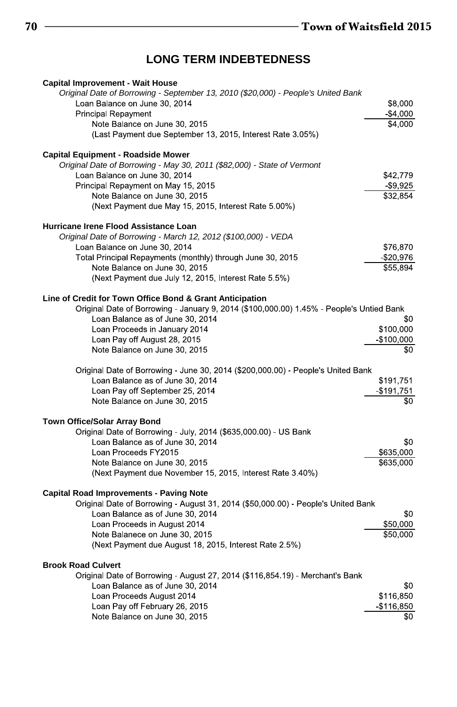# **LONG TERM INDEBTEDNESS**

| <b>Capital Improvement - Wait House</b>                                                  |               |
|------------------------------------------------------------------------------------------|---------------|
| Original Date of Borrowing - September 13, 2010 (\$20,000) - People's United Bank        |               |
| Loan Balance on June 30, 2014                                                            | \$8,000       |
| <b>Principal Repayment</b>                                                               | $-$4,000$     |
| Note Balance on June 30, 2015                                                            | \$4,000       |
| (Last Payment due September 13, 2015, Interest Rate 3.05%)                               |               |
| <b>Capital Equipment - Roadside Mower</b>                                                |               |
| Original Date of Borrowing - May 30, 2011 (\$82,000) - State of Vermont                  |               |
| Loan Balance on June 30, 2014                                                            | \$42,779      |
| Principal Repayment on May 15, 2015                                                      | $-$ \$9,925   |
| Note Balance on June 30, 2015                                                            | \$32,854      |
| (Next Payment due May 15, 2015, Interest Rate 5.00%)                                     |               |
| Hurricane Irene Flood Assistance Loan                                                    |               |
| Original Date of Borrowing - March 12, 2012 (\$100,000) - VEDA                           |               |
| Loan Balance on June 30, 2014                                                            | \$76,870      |
| Total Principal Repayments (monthly) through June 30, 2015                               | $-$20,976$    |
| Note Balance on June 30, 2015                                                            | \$55,894      |
| (Next Payment due July 12, 2015, Interest Rate 5.5%)                                     |               |
| Line of Credit for Town Office Bond & Grant Anticipation                                 |               |
| Original Date of Borrowing - January 9, 2014 (\$100,000.00) 1.45% - People's Untied Bank |               |
| Loan Balance as of June 30, 2014                                                         | \$0           |
| Loan Proceeds in January 2014                                                            | \$100,000     |
| Loan Pay off August 28, 2015                                                             | $-$100,000$   |
| Note Balance on June 30, 2015                                                            | \$0           |
| Original Date of Borrowing - June 30, 2014 (\$200,000.00) - People's United Bank         |               |
| Loan Balance as of June 30, 2014                                                         | \$191,751     |
| Loan Pay off September 25, 2014                                                          | $-$191,751$   |
| Note Balance on June 30, 2015                                                            | \$0           |
| Town Office/Solar Array Bond                                                             |               |
| Original Date of Borrowing - July, 2014 (\$635,000 00) - US Bank                         |               |
| Loan Balance as of June 30, 2014                                                         | \$0           |
| Loan Proceeds FY2015                                                                     | \$635,000     |
| Note Balance on June 30, 2015                                                            | \$635,000     |
| (Next Payment due November 15, 2015, Interest Rate 3.40%)                                |               |
| <b>Capital Road Improvements - Paving Note</b>                                           |               |
| Original Date of Borrowing - August 31, 2014 (\$50,000.00) - People's United Bank        |               |
| Loan Balance as of June 30, 2014                                                         | \$0           |
| Loan Proceeds in August 2014                                                             | \$50,000      |
| Note Balanece on June 30, 2015                                                           | \$50,000      |
| (Next Payment due August 18, 2015, Interest Rate 2.5%)                                   |               |
| <b>Brook Road Culvert</b>                                                                |               |
| Original Date of Borrowing - August 27, 2014 (\$116,854 19) - Merchant's Bank            |               |
| Loan Balance as of June 30, 2014                                                         | \$0           |
| Loan Proceeds August 2014                                                                | \$116,850     |
| Loan Pay off February 26, 2015                                                           | $-$ \$116,850 |
| Note Balance on June 30, 2015                                                            | \$0           |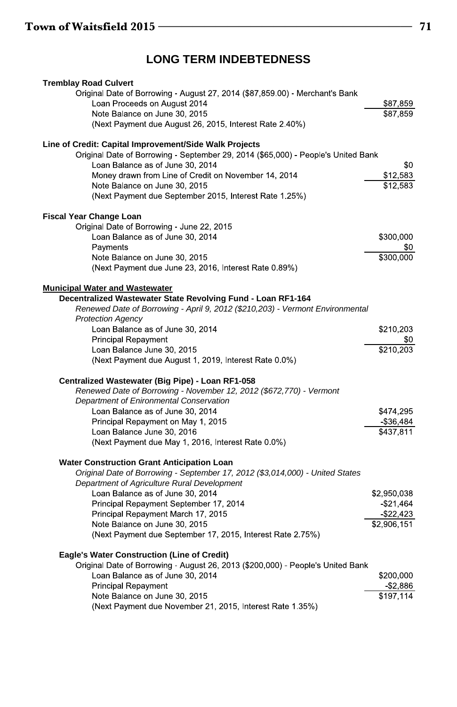### **LONG TERM INDEBTEDNESS**

| <b>Tremblay Road Culvert</b>                                                                                                       |              |
|------------------------------------------------------------------------------------------------------------------------------------|--------------|
| Original Date of Borrowing - August 27, 2014 (\$87,859.00) - Merchant's Bank                                                       |              |
| Loan Proceeds on August 2014                                                                                                       | \$87,859     |
| Note Balance on June 30, 2015                                                                                                      | \$87,859     |
| (Next Payment due August 26, 2015, Interest Rate 2.40%)                                                                            |              |
| Line of Credit: Capital Improvement/Side Walk Projects                                                                             |              |
| Original Date of Borrowing - September 29, 2014 (\$65,000) - People's United Bank                                                  |              |
| Loan Balance as of June 30, 2014                                                                                                   | \$0          |
| Money drawn from Line of Credit on November 14, 2014                                                                               | \$12,583     |
| Note Balance on June 30, 2015                                                                                                      | \$12,583     |
| (Next Payment due September 2015, Interest Rate 1 25%)                                                                             |              |
| <b>Fiscal Year Change Loan</b>                                                                                                     |              |
| Original Date of Borrowing - June 22, 2015                                                                                         |              |
| Loan Balance as of June 30, 2014                                                                                                   | \$300,000    |
| Payments                                                                                                                           | \$0          |
| Note Balance on June 30, 2015                                                                                                      | \$300,000    |
| (Next Payment due June 23, 2016, Interest Rate 0.89%)                                                                              |              |
| <b>Municipal Water and Wastewater</b>                                                                                              |              |
| Decentralized Wastewater State Revolving Fund - Loan RF1-164                                                                       |              |
| Renewed Date of Borrowing - April 9, 2012 (\$210,203) - Vermont Environmental                                                      |              |
| <b>Protection Agency</b>                                                                                                           |              |
| Loan Balance as of June 30, 2014<br><b>Principal Repayment</b>                                                                     | \$210,203    |
| Loan Balance June 30, 2015                                                                                                         | \$210,203    |
| (Next Payment due August 1, 2019, Interest Rate 0.0%)                                                                              |              |
|                                                                                                                                    |              |
| Centralized Wastewater (Big Pipe) - Loan RF1-058                                                                                   |              |
| Renewed Date of Borrowing - November 12, 2012 (\$672, 770) - Vermont<br>Department of Enironmental Conservation                    |              |
| Loan Balance as of June 30, 2014                                                                                                   | \$474,295    |
| Principal Repayment on May 1, 2015                                                                                                 | $-$ \$36,484 |
| Loan Balance June 30, 2016                                                                                                         | \$437,811    |
| (Next Payment due May 1, 2016, Interest Rate 0.0%)                                                                                 |              |
|                                                                                                                                    |              |
| <b>Water Construction Grant Anticipation Loan</b><br>Original Date of Borrowing - September 17, 2012 (\$3,014,000) - United States |              |
| Department of Agriculture Rural Development                                                                                        |              |
| Loan Balance as of June 30, 2014                                                                                                   | \$2,950,038  |
| Principal Repayment September 17, 2014                                                                                             | $-$ \$21,464 |
| Principal Repayment March 17, 2015                                                                                                 | $-$ \$22,423 |
| Note Balance on June 30, 2015                                                                                                      | \$2,906,151  |
| (Next Payment due September 17, 2015, Interest Rate 2.75%)                                                                         |              |
| Eagle's Water Construction (Line of Credit)                                                                                        |              |
| Original Date of Borrowing - August 26, 2013 (\$200,000) - People's United Bank                                                    |              |
| Loan Balance as of June 30, 2014                                                                                                   | \$200,000    |
| <b>Principal Repayment</b>                                                                                                         | \$2,886      |
| Note Balance on June 30, 2015                                                                                                      | \$197,114    |
| (Next Payment due November 21, 2015, Interest Rate 1.35%)                                                                          |              |
|                                                                                                                                    |              |